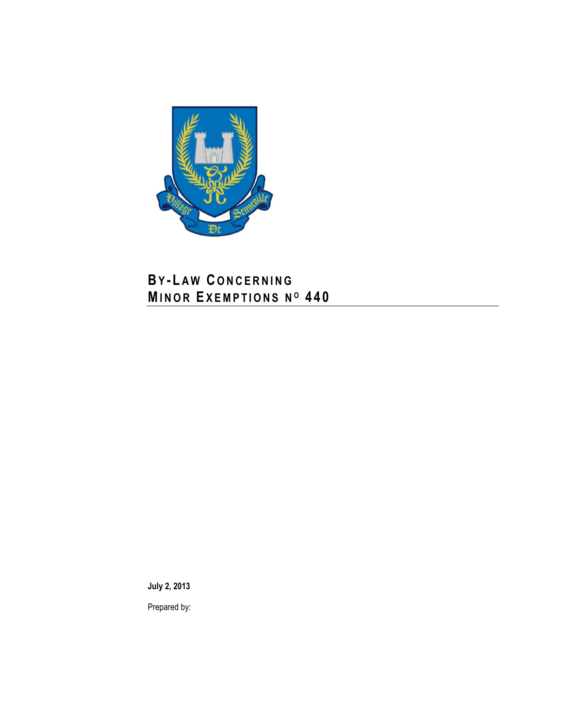

# **BY - L A W C O N C E R N I N G MI N O R EX E M P T I O N S N <sup>O</sup> 4 4 0**

**July 2, 2013**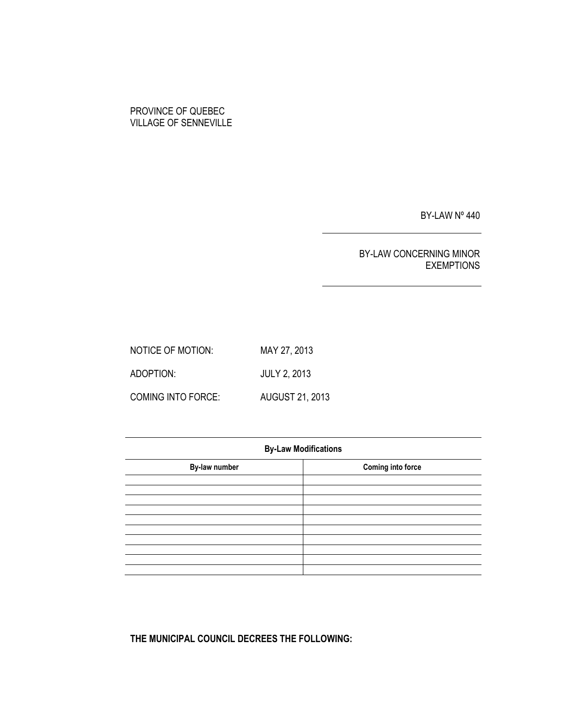# PROVINCE OF QUEBEC VILLAGE OF SENNEVILLE

BY-LAW Nº 440

# BY-LAW CONCERNING MINOR EXEMPTIONS

NOTICE OF MOTION: MAY 27, 2013 ADOPTION: JULY 2, 2013 COMING INTO FORCE: AUGUST 21, 2013

| <b>By-Law Modifications</b> |                          |  |  |  |
|-----------------------------|--------------------------|--|--|--|
| By-law number               | <b>Coming into force</b> |  |  |  |
|                             |                          |  |  |  |
|                             |                          |  |  |  |
|                             |                          |  |  |  |
|                             |                          |  |  |  |
|                             |                          |  |  |  |
|                             |                          |  |  |  |

**THE MUNICIPAL COUNCIL DECREES THE FOLLOWING:**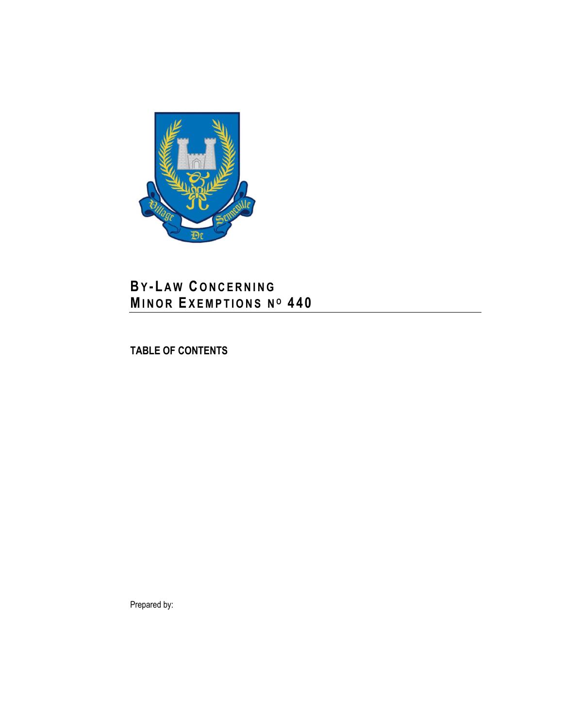

# **BY - L A W C O N C E R N I N G MI N O R EX E M P T I O N S N <sup>O</sup> 4 4 0**

**TABLE OF CONTENTS**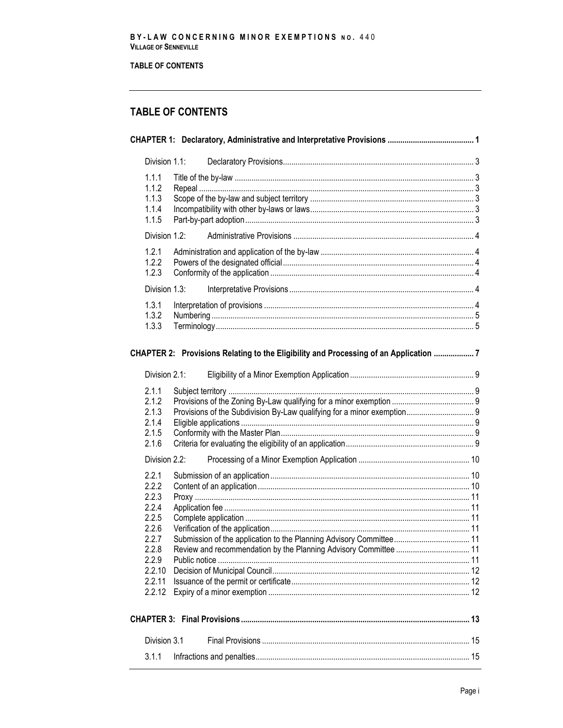# TABLE OF CONTENTS

# **TABLE OF CONTENTS**

| Division 1.1:                                                                                               |                                                                                      |  |
|-------------------------------------------------------------------------------------------------------------|--------------------------------------------------------------------------------------|--|
| 1.1.1<br>1.1.2<br>1.1.3<br>1.1.4<br>1.1.5                                                                   |                                                                                      |  |
| Division 1.2:                                                                                               |                                                                                      |  |
| 1.2.1<br>1.2.2<br>1.2.3                                                                                     |                                                                                      |  |
| Division 1.3:                                                                                               |                                                                                      |  |
| 1.3.1<br>1.3.2<br>1.3.3                                                                                     |                                                                                      |  |
|                                                                                                             | CHAPTER 2: Provisions Relating to the Eligibility and Processing of an Application 7 |  |
| Division 2.1:                                                                                               |                                                                                      |  |
| 2.1.1<br>2.1.2<br>2.1.3<br>2.1.4<br>2.1.5<br>2.1.6                                                          | Provisions of the Subdivision By-Law qualifying for a minor exemption 9              |  |
| Division 2.2:                                                                                               |                                                                                      |  |
| 2.2.1<br>2.2.2<br>2.2.3<br>2.2.4<br>2.2.5<br>2.2.6<br>2.2.7<br>2.2.8<br>2.2.9<br>2.2.10<br>2.2.11<br>2.2.12 |                                                                                      |  |
|                                                                                                             |                                                                                      |  |
| Division 3.1                                                                                                |                                                                                      |  |
| 3.1.1                                                                                                       |                                                                                      |  |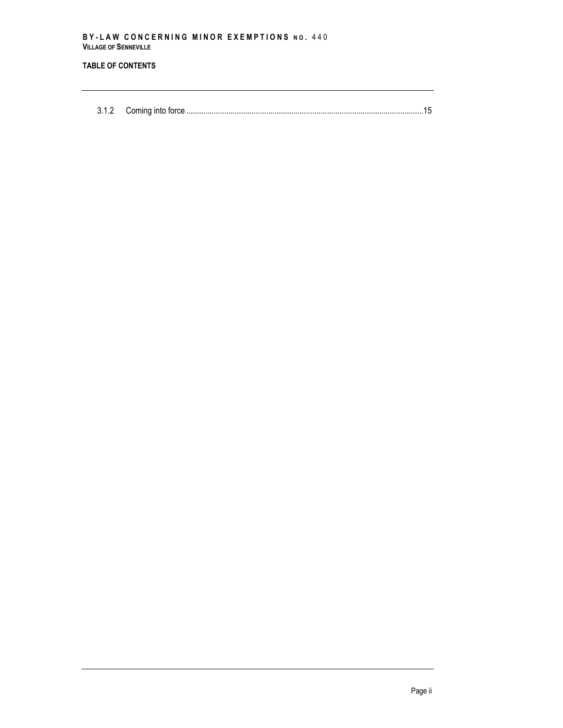# **TABLE OF CONTENTS**

3.1.2 Coming into force [.................................................................................................................15](#page-22-2)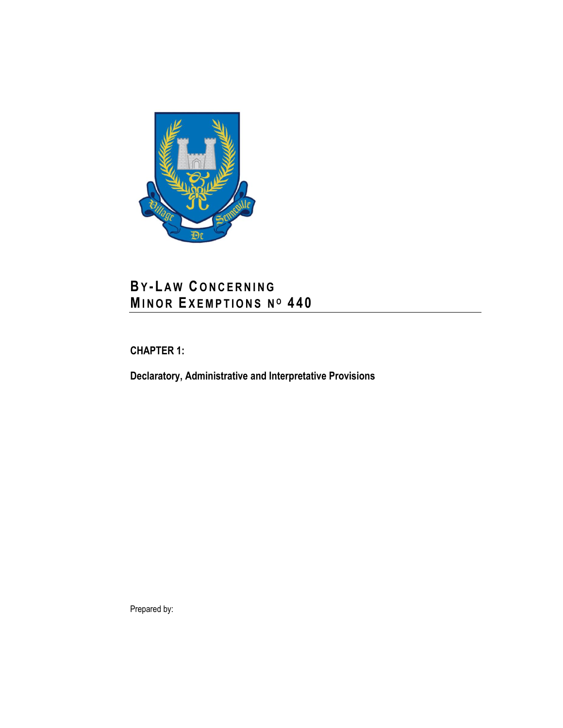

# **BY - L A W C O N C E R N I N G MI N O R EX E M P T I O N S N <sup>O</sup> 4 4 0**

<span id="page-8-0"></span>**CHAPTER 1:**

<span id="page-8-1"></span>**Declaratory, Administrative and Interpretative Provisions**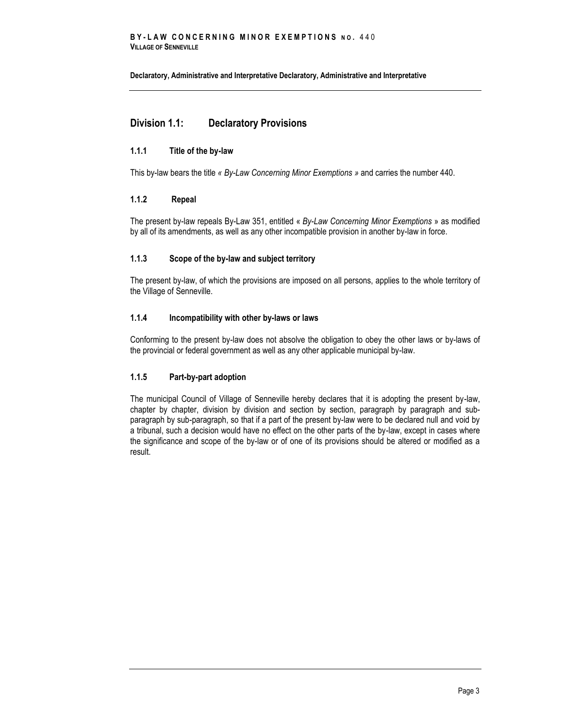**Declaratory, Administrative and Interpretative [Declaratory, Administrative and Interpretative](#page-8-1)**

# <span id="page-10-0"></span>**Division 1.1: Declaratory Provisions**

# <span id="page-10-1"></span>**1.1.1 Title of the by-law**

<span id="page-10-2"></span>This by-law bears the title *« By-Law Concerning Minor Exemptions »* and carries the number 440.

### **1.1.2 Repeal**

The present by-law repeals By-Law 351, entitled « *By-Law Concerning Minor Exemptions* » as modified by all of its amendments, as well as any other incompatible provision in another by-law in force.

# <span id="page-10-3"></span>**1.1.3 Scope of the by-law and subject territory**

The present by-law, of which the provisions are imposed on all persons, applies to the whole territory of the Village of Senneville.

# <span id="page-10-4"></span>**1.1.4 Incompatibility with other by-laws or laws**

Conforming to the present by-law does not absolve the obligation to obey the other laws or by-laws of the provincial or federal government as well as any other applicable municipal by-law.

### <span id="page-10-5"></span>**1.1.5 Part-by-part adoption**

The municipal Council of Village of Senneville hereby declares that it is adopting the present by-law, chapter by chapter, division by division and section by section, paragraph by paragraph and subparagraph by sub-paragraph, so that if a part of the present by-law were to be declared null and void by a tribunal, such a decision would have no effect on the other parts of the by-law, except in cases where the significance and scope of the by-law or of one of its provisions should be altered or modified as a result.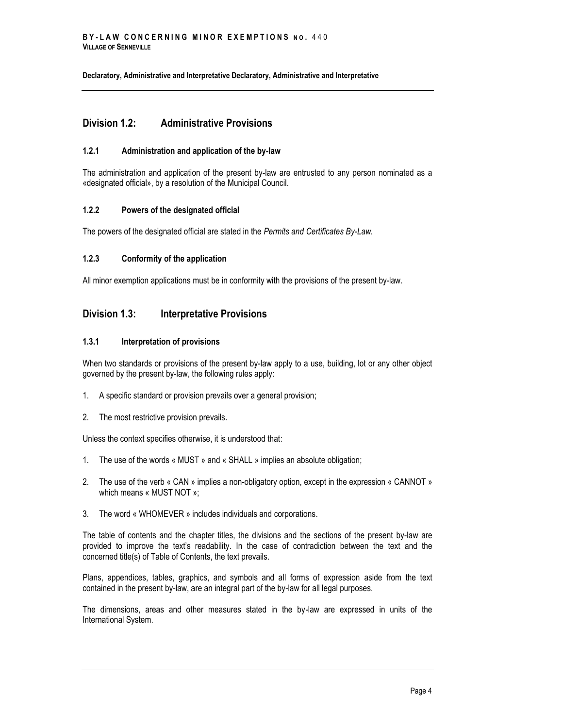**Declaratory, Administrative and Interpretativ[e Declaratory, Administrative and Interpretative](#page-8-1)**

# <span id="page-11-0"></span>**Division 1.2: Administrative Provisions**

# <span id="page-11-1"></span>**1.2.1 Administration and application of the by-law**

The administration and application of the present by-law are entrusted to any person nominated as a «designated official», by a resolution of the Municipal Council.

# <span id="page-11-2"></span>**1.2.2 Powers of the designated official**

<span id="page-11-3"></span>The powers of the designated official are stated in the *Permits and Certificates By-Law.*

### **1.2.3 Conformity of the application**

All minor exemption applications must be in conformity with the provisions of the present by-law.

# <span id="page-11-4"></span>**Division 1.3: Interpretative Provisions**

### <span id="page-11-5"></span>**1.3.1 Interpretation of provisions**

When two standards or provisions of the present by-law apply to a use, building, lot or any other object governed by the present by-law, the following rules apply:

- 1. A specific standard or provision prevails over a general provision;
- 2. The most restrictive provision prevails.

Unless the context specifies otherwise, it is understood that:

- 1. The use of the words « MUST » and « SHALL » implies an absolute obligation;
- 2. The use of the verb « CAN » implies a non-obligatory option, except in the expression « CANNOT » which means « MUST NOT »;
- 3. The word « WHOMEVER » includes individuals and corporations.

The table of contents and the chapter titles, the divisions and the sections of the present by-law are provided to improve the text's readability. In the case of contradiction between the text and the concerned title(s) of Table of Contents, the text prevails.

Plans, appendices, tables, graphics, and symbols and all forms of expression aside from the text contained in the present by-law, are an integral part of the by-law for all legal purposes.

The dimensions, areas and other measures stated in the by-law are expressed in units of the International System.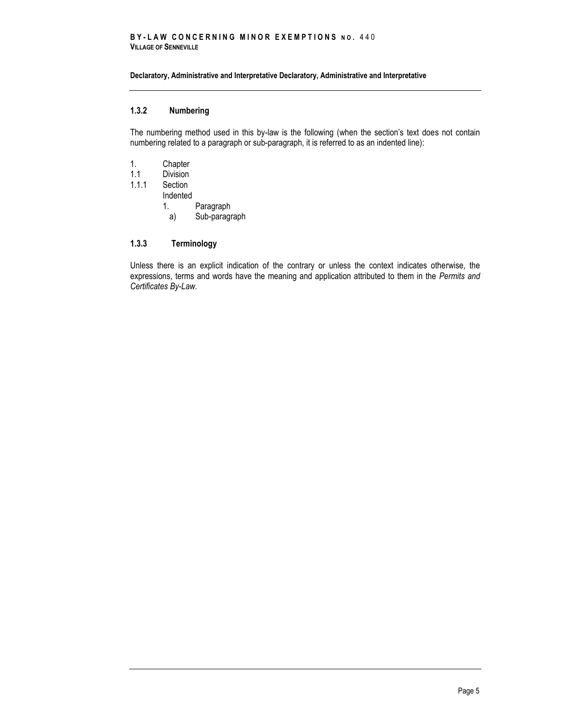#### **Declaratory, Administrative and Interpretative [Declaratory, Administrative and Interpretative](#page-8-1)**

# <span id="page-12-0"></span>**1.3.2 Numbering**

The numbering method used in this by-law is the following (when the section's text does not contain numbering related to a paragraph or sub-paragraph, it is referred to as an indented line):

- 1. Chapter
- 1.1 Division
- 1.1.1 Section
	- Indented
		- 1. Paragraph
			- a) Sub-paragraph

# <span id="page-12-1"></span>**1.3.3 Terminology**

Unless there is an explicit indication of the contrary or unless the context indicates otherwise, the expressions, terms and words have the meaning and application attributed to them in the *Permits and Certificates By-Law.*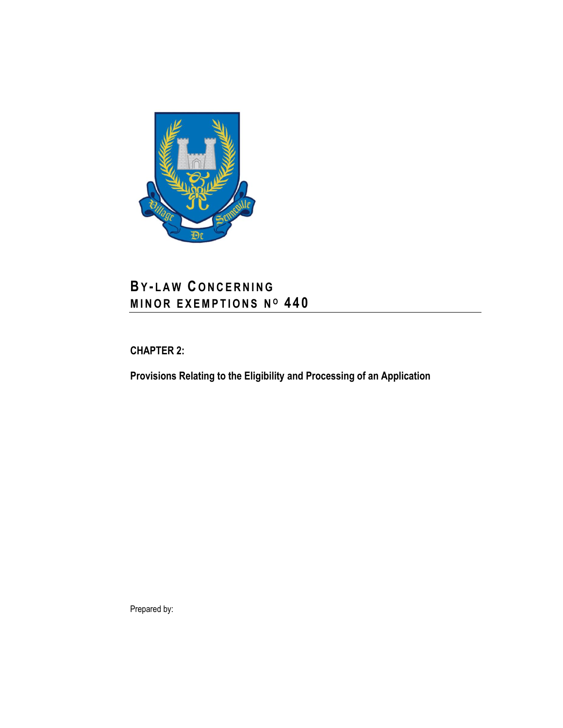

# **BY - L A W C O N C E R N I N G M I N O R E X E M P T I O N S N <sup>O</sup> 4 4 0**

<span id="page-14-0"></span>**CHAPTER 2:**

**Provisions Relating to the Eligibility and Processing of an Application**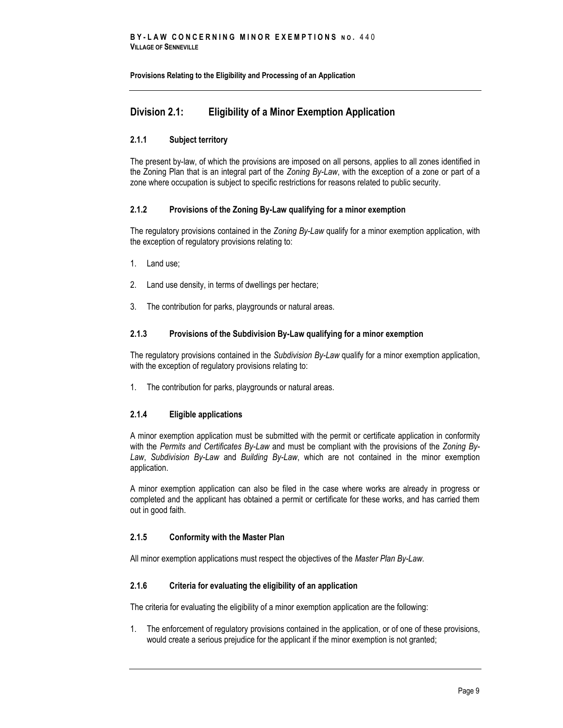# <span id="page-16-0"></span>**Division 2.1: Eligibility of a Minor Exemption Application**

# <span id="page-16-1"></span>**2.1.1 Subject territory**

The present by-law, of which the provisions are imposed on all persons, applies to all zones identified in the Zoning Plan that is an integral part of the *Zoning By-Law*, with the exception of a zone or part of a zone where occupation is subject to specific restrictions for reasons related to public security.

# <span id="page-16-2"></span>**2.1.2 Provisions of the Zoning By-Law qualifying for a minor exemption**

The regulatory provisions contained in the *Zoning By-Law* qualify for a minor exemption application, with the exception of regulatory provisions relating to:

- 1. Land use;
- 2. Land use density, in terms of dwellings per hectare;
- 3. The contribution for parks, playgrounds or natural areas.

# <span id="page-16-3"></span>**2.1.3 Provisions of the Subdivision By-Law qualifying for a minor exemption**

The regulatory provisions contained in the *Subdivision By-Law* qualify for a minor exemption application, with the exception of regulatory provisions relating to:

1. The contribution for parks, playgrounds or natural areas.

### <span id="page-16-4"></span>**2.1.4 Eligible applications**

A minor exemption application must be submitted with the permit or certificate application in conformity with the *Permits and Certificates By-Law* and must be compliant with the provisions of the *Zoning By-Law*, *Subdivision By-Law* and *Building By-Law*, which are not contained in the minor exemption application.

A minor exemption application can also be filed in the case where works are already in progress or completed and the applicant has obtained a permit or certificate for these works, and has carried them out in good faith.

# <span id="page-16-5"></span>**2.1.5 Conformity with the Master Plan**

<span id="page-16-6"></span>All minor exemption applications must respect the objectives of the *Master Plan By-Law.*

### **2.1.6 Criteria for evaluating the eligibility of an application**

The criteria for evaluating the eligibility of a minor exemption application are the following:

1. The enforcement of regulatory provisions contained in the application, or of one of these provisions, would create a serious prejudice for the applicant if the minor exemption is not granted;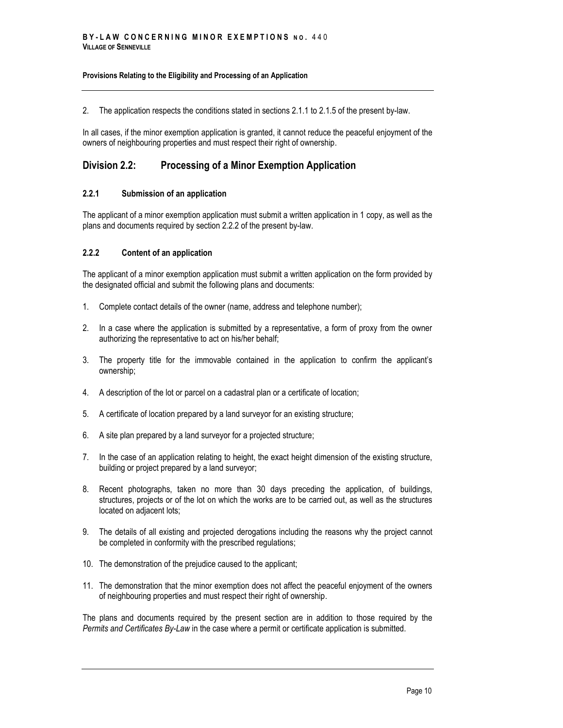2. The application respects the conditions stated in sections 2.1.1 to 2.1.5 of the present by-law.

In all cases, if the minor exemption application is granted, it cannot reduce the peaceful enjoyment of the owners of neighbouring properties and must respect their right of ownership.

# <span id="page-17-0"></span>**Division 2.2: Processing of a Minor Exemption Application**

# <span id="page-17-1"></span>**2.2.1 Submission of an application**

The applicant of a minor exemption application must submit a written application in 1 copy, as well as the plans and documents required by section 2.2.2 of the present by-law.

# <span id="page-17-2"></span>**2.2.2 Content of an application**

The applicant of a minor exemption application must submit a written application on the form provided by the designated official and submit the following plans and documents:

- 1. Complete contact details of the owner (name, address and telephone number);
- 2. In a case where the application is submitted by a representative, a form of proxy from the owner authorizing the representative to act on his/her behalf;
- 3. The property title for the immovable contained in the application to confirm the applicant's ownership;
- 4. A description of the lot or parcel on a cadastral plan or a certificate of location;
- 5. A certificate of location prepared by a land surveyor for an existing structure;
- 6. A site plan prepared by a land surveyor for a projected structure;
- 7. In the case of an application relating to height, the exact height dimension of the existing structure, building or project prepared by a land surveyor;
- 8. Recent photographs, taken no more than 30 days preceding the application, of buildings, structures, projects or of the lot on which the works are to be carried out, as well as the structures located on adjacent lots;
- 9. The details of all existing and projected derogations including the reasons why the project cannot be completed in conformity with the prescribed regulations;
- 10. The demonstration of the prejudice caused to the applicant;
- 11. The demonstration that the minor exemption does not affect the peaceful enjoyment of the owners of neighbouring properties and must respect their right of ownership.

The plans and documents required by the present section are in addition to those required by the *Permits and Certificates By-Law* in the case where a permit or certificate application is submitted.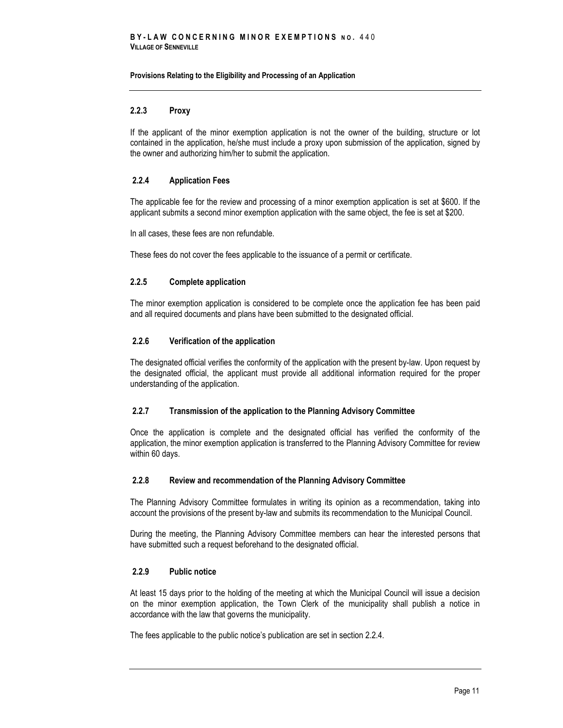# <span id="page-18-0"></span>**2.2.3 Proxy**

If the applicant of the minor exemption application is not the owner of the building, structure or lot contained in the application, he/she must include a proxy upon submission of the application, signed by the owner and authorizing him/her to submit the application.

## <span id="page-18-1"></span>**2.2.4 Application Fees**

The applicable fee for the review and processing of a minor exemption application is set at \$600. If the applicant submits a second minor exemption application with the same object, the fee is set at \$200.

In all cases, these fees are non refundable.

<span id="page-18-2"></span>These fees do not cover the fees applicable to the issuance of a permit or certificate.

### **2.2.5 Complete application**

The minor exemption application is considered to be complete once the application fee has been paid and all required documents and plans have been submitted to the designated official.

### <span id="page-18-3"></span>**2.2.6 Verification of the application**

The designated official verifies the conformity of the application with the present by-law. Upon request by the designated official, the applicant must provide all additional information required for the proper understanding of the application.

### <span id="page-18-4"></span>**2.2.7 Transmission of the application to the Planning Advisory Committee**

Once the application is complete and the designated official has verified the conformity of the application, the minor exemption application is transferred to the Planning Advisory Committee for review within 60 days.

### <span id="page-18-5"></span>**2.2.8 Review and recommendation of the Planning Advisory Committee**

The Planning Advisory Committee formulates in writing its opinion as a recommendation, taking into account the provisions of the present by-law and submits its recommendation to the Municipal Council.

During the meeting, the Planning Advisory Committee members can hear the interested persons that have submitted such a request beforehand to the designated official.

# <span id="page-18-6"></span>**2.2.9 Public notice**

At least 15 days prior to the holding of the meeting at which the Municipal Council will issue a decision on the minor exemption application, the Town Clerk of the municipality shall publish a notice in accordance with the law that governs the municipality.

The fees applicable to the public notice's publication are set in section 2.2.4.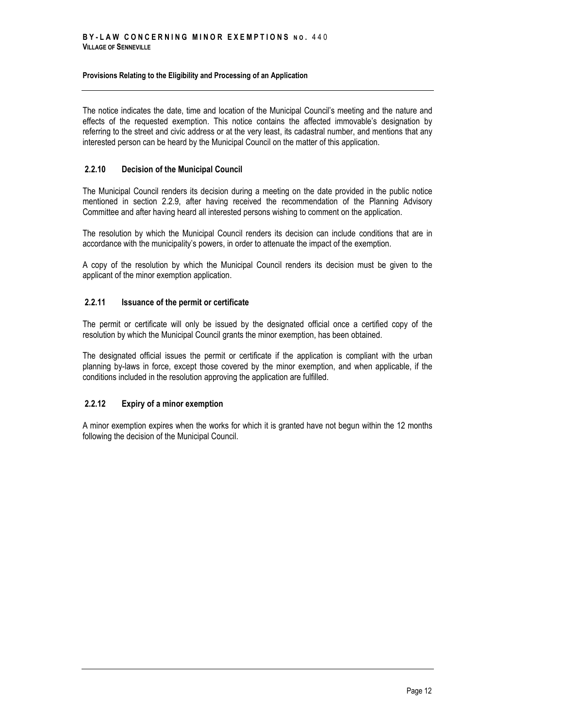The notice indicates the date, time and location of the Municipal Council's meeting and the nature and effects of the requested exemption. This notice contains the affected immovable's designation by referring to the street and civic address or at the very least, its cadastral number, and mentions that any interested person can be heard by the Municipal Council on the matter of this application.

# <span id="page-19-0"></span>**2.2.10 Decision of the Municipal Council**

The Municipal Council renders its decision during a meeting on the date provided in the public notice mentioned in section 2.2.9, after having received the recommendation of the Planning Advisory Committee and after having heard all interested persons wishing to comment on the application.

The resolution by which the Municipal Council renders its decision can include conditions that are in accordance with the municipality's powers, in order to attenuate the impact of the exemption.

A copy of the resolution by which the Municipal Council renders its decision must be given to the applicant of the minor exemption application.

# <span id="page-19-1"></span>**2.2.11 Issuance of the permit or certificate**

The permit or certificate will only be issued by the designated official once a certified copy of the resolution by which the Municipal Council grants the minor exemption, has been obtained.

The designated official issues the permit or certificate if the application is compliant with the urban planning by-laws in force, except those covered by the minor exemption, and when applicable, if the conditions included in the resolution approving the application are fulfilled.

# <span id="page-19-2"></span>**2.2.12 Expiry of a minor exemption**

A minor exemption expires when the works for which it is granted have not begun within the 12 months following the decision of the Municipal Council.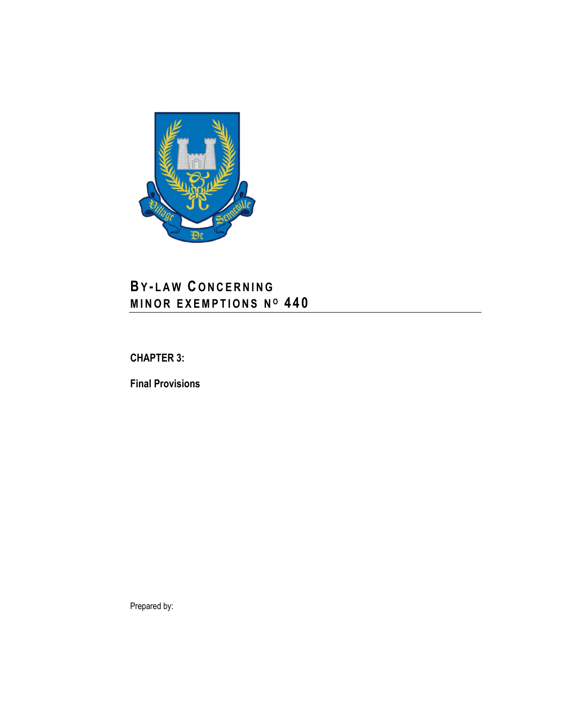

# **BY - L A W C O N C E R N I N G M I N O R E X E M P T I O N S N <sup>O</sup> 4 4 0**

<span id="page-20-0"></span>**CHAPTER 3:**

**Final Provisions**